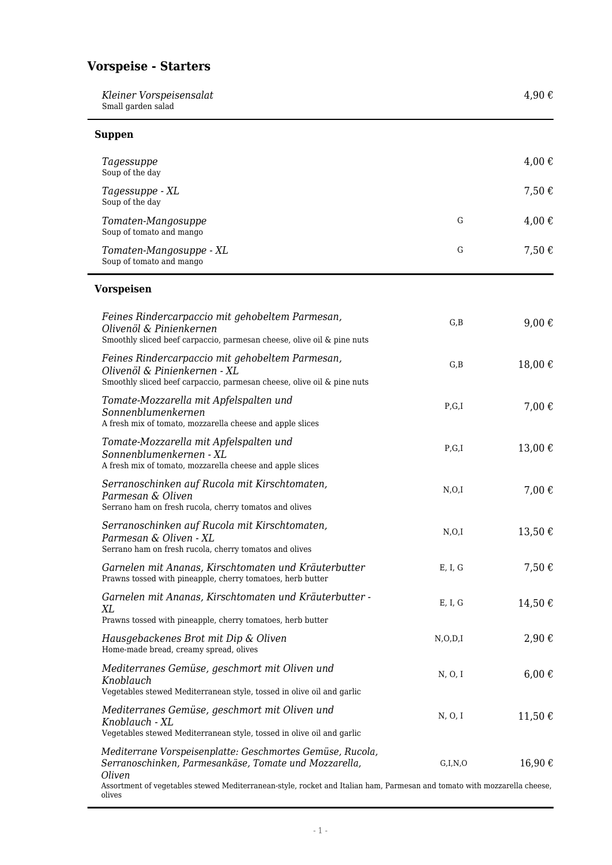# **Vorspeise - Starters**

| Kleiner Vorspeisensalat<br>Small garden salad                                                                                                                                                                                                            |            | 4,90€           |
|----------------------------------------------------------------------------------------------------------------------------------------------------------------------------------------------------------------------------------------------------------|------------|-----------------|
| <b>Suppen</b>                                                                                                                                                                                                                                            |            |                 |
| Tagessuppe<br>Soup of the day                                                                                                                                                                                                                            |            | 4,00€           |
| Tagessuppe - XL<br>Soup of the day                                                                                                                                                                                                                       |            | 7,50€           |
| Tomaten-Mangosuppe<br>Soup of tomato and mango                                                                                                                                                                                                           | G          | 4,00€           |
| Tomaten-Mangosuppe - XL<br>Soup of tomato and mango                                                                                                                                                                                                      | G          | 7,50€           |
| <b>Vorspeisen</b>                                                                                                                                                                                                                                        |            |                 |
| Feines Rindercarpaccio mit gehobeltem Parmesan,<br>Olivenöl & Pinienkernen<br>Smoothly sliced beef carpaccio, parmesan cheese, olive oil & pine nuts                                                                                                     | G, B       | 9,00 $\epsilon$ |
| Feines Rindercarpaccio mit gehobeltem Parmesan,<br>Olivenöl & Pinienkernen - XL<br>Smoothly sliced beef carpaccio, parmesan cheese, olive oil & pine nuts                                                                                                | G, B       | 18,00€          |
| Tomate-Mozzarella mit Apfelspalten und<br>Sonnenblumenkernen<br>A fresh mix of tomato, mozzarella cheese and apple slices                                                                                                                                | P,G,I      | 7,00€           |
| Tomate-Mozzarella mit Apfelspalten und<br>Sonnenblumenkernen - XL<br>A fresh mix of tomato, mozzarella cheese and apple slices                                                                                                                           | P,G,I      | 13,00€          |
| Serranoschinken auf Rucola mit Kirschtomaten,<br>Parmesan & Oliven<br>Serrano ham on fresh rucola, cherry tomatos and olives                                                                                                                             | N, O, I    | 7,00€           |
| Serranoschinken auf Rucola mit Kirschtomaten,<br>Parmesan & Oliven - XL<br>Serrano ham on fresh rucola, cherry tomatos and olives                                                                                                                        | N, O, I    | 13,50€          |
| Garnelen mit Ananas, Kirschtomaten und Kräuterbutter<br>Prawns tossed with pineapple, cherry tomatoes, herb butter                                                                                                                                       | E, I, G    | 7,50€           |
| Garnelen mit Ananas, Kirschtomaten und Kräuterbutter -<br>XL<br>Prawns tossed with pineapple, cherry tomatoes, herb butter                                                                                                                               | E, I, G    | 14,50€          |
| Hausgebackenes Brot mit Dip & Oliven<br>Home-made bread, creamy spread, olives                                                                                                                                                                           | N, O, D, I | 2,90€           |
| Mediterranes Gemüse, geschmort mit Oliven und<br>Knoblauch<br>Vegetables stewed Mediterranean style, tossed in olive oil and garlic                                                                                                                      | N, O, I    | $6,00 \in$      |
| Mediterranes Gemüse, geschmort mit Oliven und<br>Knoblauch - XL<br>Vegetables stewed Mediterranean style, tossed in olive oil and garlic                                                                                                                 | N, O, I    | 11,50€          |
| Mediterrane Vorspeisenplatte: Geschmortes Gemüse, Rucola,<br>Serranoschinken, Parmesankäse, Tomate und Mozzarella,<br>Oliven<br>Assortment of vegetables stewed Mediterranean-style, rocket and Italian ham, Parmesan and tomato with mozzarella cheese, | G,I,N,O    | 16,90€          |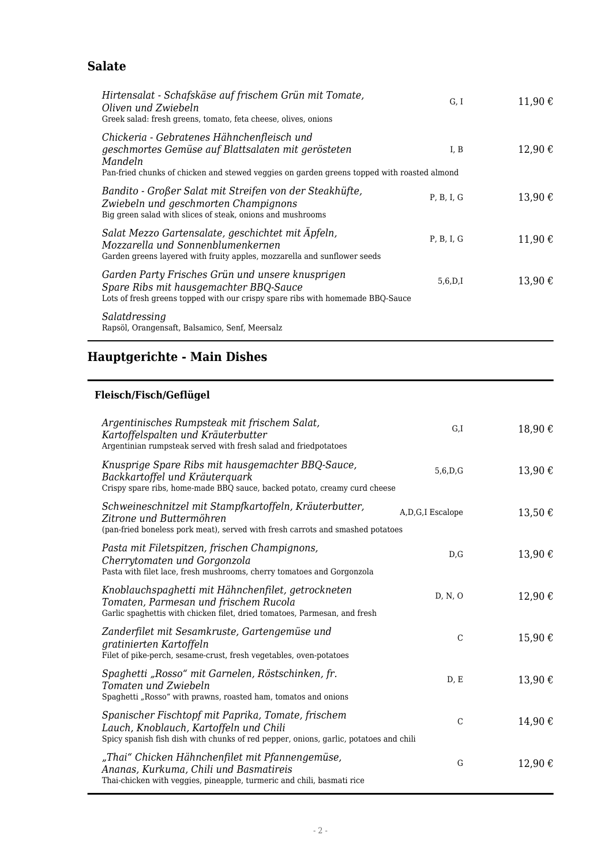### **Salate**

| Hirtensalat - Schafskäse auf frischem Grün mit Tomate,<br>Oliven und Zwiebeln<br>Greek salad: fresh greens, tomato, feta cheese, olives, onions                                                           | G, I       | 11,90€         |
|-----------------------------------------------------------------------------------------------------------------------------------------------------------------------------------------------------------|------------|----------------|
| Chickeria - Gebratenes Hähnchenfleisch und<br>geschmortes Gemüse auf Blattsalaten mit gerösteten<br>Mandeln<br>Pan-fried chunks of chicken and stewed veggies on garden greens topped with roasted almond | I, B       | 12,90€         |
| Bandito - Großer Salat mit Streifen von der Steakhüfte,<br>Zwiebeln und geschmorten Champignons<br>Big green salad with slices of steak, onions and mushrooms                                             | P. B. I. G | $13,90 \notin$ |
| Salat Mezzo Gartensalate, geschichtet mit Äpfeln,<br>Mozzarella und Sonnenblumenkernen<br>Garden greens layered with fruity apples, mozzarella and sunflower seeds                                        | P, B, I, G | 11,90€         |
| Garden Party Frisches Grün und unsere knusprigen<br>Spare Ribs mit hausgemachter BBQ-Sauce<br>Lots of fresh greens topped with our crispy spare ribs with homemade BBQ-Sauce                              | 5,6,D,I    | 13,90€         |
| Salatdressing<br>Rapsöl, Orangensaft, Balsamico, Senf, Meersalz                                                                                                                                           |            |                |

# **Hauptgerichte - Main Dishes**

#### **Fleisch/Fisch/Geflügel**

| Argentinisches Rumpsteak mit frischem Salat,<br>Kartoffelspalten und Kräuterbutter<br>Argentinian rumpsteak served with fresh salad and friedpotatoes                                 | G,I                 | 18,90€         |
|---------------------------------------------------------------------------------------------------------------------------------------------------------------------------------------|---------------------|----------------|
| Knusprige Spare Ribs mit hausgemachter BBQ-Sauce,<br>Backkartoffel und Kräuterquark<br>Crispy spare ribs, home-made BBQ sauce, backed potato, creamy curd cheese                      | 5,6,D,G             | 13,90€         |
| Schweineschnitzel mit Stampfkartoffeln, Kräuterbutter,<br>Zitrone und Buttermöhren<br>(pan-fried boneless pork meat), served with fresh carrots and smashed potatoes                  | A, D, G, I Escalope | $13,50 \notin$ |
| Pasta mit Filetspitzen, frischen Champignons,<br>Cherrytomaten und Gorgonzola<br>Pasta with filet lace, fresh mushrooms, cherry tomatoes and Gorgonzola                               | D,G                 | 13,90€         |
| Knoblauchspaghetti mit Hähnchenfilet, getrockneten<br>Tomaten, Parmesan und frischem Rucola<br>Garlic spaghettis with chicken filet, dried tomatoes, Parmesan, and fresh              | D, N, O             | 12,90€         |
| Zanderfilet mit Sesamkruste, Gartengemüse und<br>gratinierten Kartoffeln<br>Filet of pike-perch, sesame-crust, fresh vegetables, oven-potatoes                                        | $\mathcal{C}$       | 15,90€         |
| Spaghetti "Rosso" mit Garnelen, Röstschinken, fr.<br>Tomaten und Zwiebeln<br>Spaghetti "Rosso" with prawns, roasted ham, tomatos and onions                                           | D, E                | 13,90€         |
| Spanischer Fischtopf mit Paprika, Tomate, frischem<br>Lauch, Knoblauch, Kartoffeln und Chili<br>Spicy spanish fish dish with chunks of red pepper, onions, garlic, potatoes and chili | $\mathcal{C}$       | 14,90€         |
| "Thai" Chicken Hähnchenfilet mit Pfannengemüse,<br>Ananas, Kurkuma, Chili und Basmatireis<br>Thai-chicken with veggies, pineapple, turmeric and chili, basmati rice                   | G                   | 12,90€         |